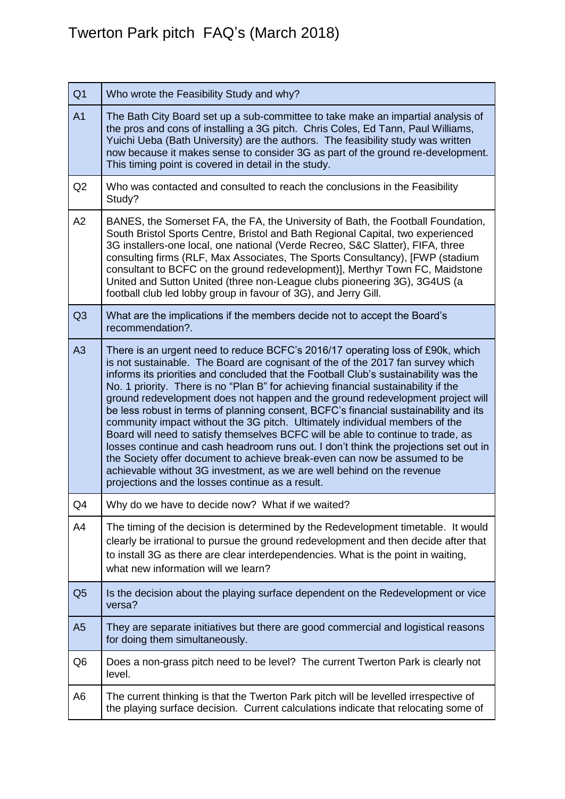## Twerton Park pitch FAQ's (March 2018)

| Q <sub>1</sub> | Who wrote the Feasibility Study and why?                                                                                                                                                                                                                                                                                                                                                                                                                                                                                                                                                                                                                                                                                                                                                                                                                                                                                                                                                        |
|----------------|-------------------------------------------------------------------------------------------------------------------------------------------------------------------------------------------------------------------------------------------------------------------------------------------------------------------------------------------------------------------------------------------------------------------------------------------------------------------------------------------------------------------------------------------------------------------------------------------------------------------------------------------------------------------------------------------------------------------------------------------------------------------------------------------------------------------------------------------------------------------------------------------------------------------------------------------------------------------------------------------------|
| A <sub>1</sub> | The Bath City Board set up a sub-committee to take make an impartial analysis of<br>the pros and cons of installing a 3G pitch. Chris Coles, Ed Tann, Paul Williams,<br>Yuichi Ueba (Bath University) are the authors. The feasibility study was written<br>now because it makes sense to consider 3G as part of the ground re-development.<br>This timing point is covered in detail in the study.                                                                                                                                                                                                                                                                                                                                                                                                                                                                                                                                                                                             |
| Q <sub>2</sub> | Who was contacted and consulted to reach the conclusions in the Feasibility<br>Study?                                                                                                                                                                                                                                                                                                                                                                                                                                                                                                                                                                                                                                                                                                                                                                                                                                                                                                           |
| A <sub>2</sub> | BANES, the Somerset FA, the FA, the University of Bath, the Football Foundation,<br>South Bristol Sports Centre, Bristol and Bath Regional Capital, two experienced<br>3G installers-one local, one national (Verde Recreo, S&C Slatter), FIFA, three<br>consulting firms (RLF, Max Associates, The Sports Consultancy), [FWP (stadium<br>consultant to BCFC on the ground redevelopment)], Merthyr Town FC, Maidstone<br>United and Sutton United (three non-League clubs pioneering 3G), 3G4US (a<br>football club led lobby group in favour of 3G), and Jerry Gill.                                                                                                                                                                                                                                                                                                                                                                                                                          |
| Q <sub>3</sub> | What are the implications if the members decide not to accept the Board's<br>recommendation?.                                                                                                                                                                                                                                                                                                                                                                                                                                                                                                                                                                                                                                                                                                                                                                                                                                                                                                   |
| A3             | There is an urgent need to reduce BCFC's 2016/17 operating loss of £90k, which<br>is not sustainable. The Board are cognisant of the of the 2017 fan survey which<br>informs its priorities and concluded that the Football Club's sustainability was the<br>No. 1 priority. There is no "Plan B" for achieving financial sustainability if the<br>ground redevelopment does not happen and the ground redevelopment project will<br>be less robust in terms of planning consent, BCFC's financial sustainability and its<br>community impact without the 3G pitch. Ultimately individual members of the<br>Board will need to satisfy themselves BCFC will be able to continue to trade, as<br>losses continue and cash headroom runs out. I don't think the projections set out in<br>the Society offer document to achieve break-even can now be assumed to be<br>achievable without 3G investment, as we are well behind on the revenue<br>projections and the losses continue as a result. |
| Q4             | Why do we have to decide now? What if we waited?                                                                                                                                                                                                                                                                                                                                                                                                                                                                                                                                                                                                                                                                                                                                                                                                                                                                                                                                                |
| A4             | The timing of the decision is determined by the Redevelopment timetable. It would<br>clearly be irrational to pursue the ground redevelopment and then decide after that<br>to install 3G as there are clear interdependencies. What is the point in waiting,<br>what new information will we learn?                                                                                                                                                                                                                                                                                                                                                                                                                                                                                                                                                                                                                                                                                            |
| Q5             | Is the decision about the playing surface dependent on the Redevelopment or vice<br>versa?                                                                                                                                                                                                                                                                                                                                                                                                                                                                                                                                                                                                                                                                                                                                                                                                                                                                                                      |
| A <sub>5</sub> | They are separate initiatives but there are good commercial and logistical reasons<br>for doing them simultaneously.                                                                                                                                                                                                                                                                                                                                                                                                                                                                                                                                                                                                                                                                                                                                                                                                                                                                            |
| Q6             | Does a non-grass pitch need to be level? The current Twerton Park is clearly not<br>level.                                                                                                                                                                                                                                                                                                                                                                                                                                                                                                                                                                                                                                                                                                                                                                                                                                                                                                      |
| A6             | The current thinking is that the Twerton Park pitch will be levelled irrespective of<br>the playing surface decision. Current calculations indicate that relocating some of                                                                                                                                                                                                                                                                                                                                                                                                                                                                                                                                                                                                                                                                                                                                                                                                                     |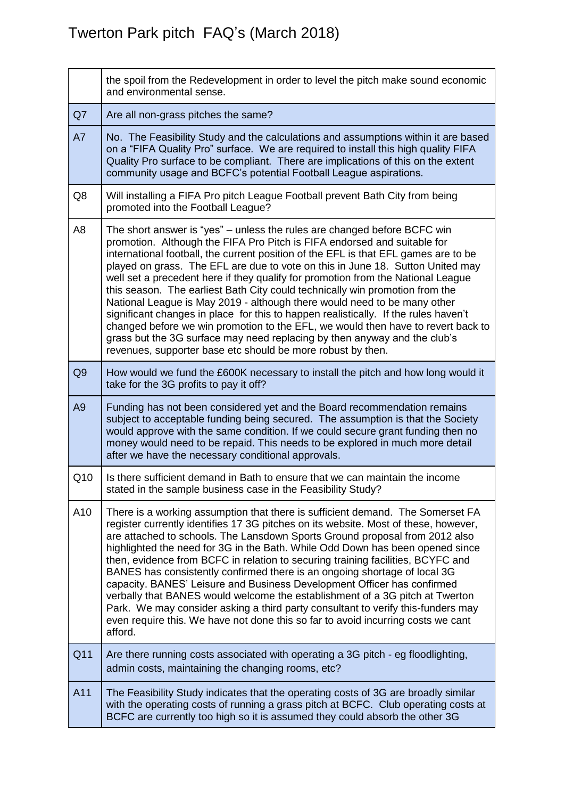|                | the spoil from the Redevelopment in order to level the pitch make sound economic<br>and environmental sense.                                                                                                                                                                                                                                                                                                                                                                                                                                                                                                                                                                                                                                                                                                                                                                                         |
|----------------|------------------------------------------------------------------------------------------------------------------------------------------------------------------------------------------------------------------------------------------------------------------------------------------------------------------------------------------------------------------------------------------------------------------------------------------------------------------------------------------------------------------------------------------------------------------------------------------------------------------------------------------------------------------------------------------------------------------------------------------------------------------------------------------------------------------------------------------------------------------------------------------------------|
| Q7             | Are all non-grass pitches the same?                                                                                                                                                                                                                                                                                                                                                                                                                                                                                                                                                                                                                                                                                                                                                                                                                                                                  |
| A7             | No. The Feasibility Study and the calculations and assumptions within it are based<br>on a "FIFA Quality Pro" surface. We are required to install this high quality FIFA<br>Quality Pro surface to be compliant. There are implications of this on the extent<br>community usage and BCFC's potential Football League aspirations.                                                                                                                                                                                                                                                                                                                                                                                                                                                                                                                                                                   |
| Q8             | Will installing a FIFA Pro pitch League Football prevent Bath City from being<br>promoted into the Football League?                                                                                                                                                                                                                                                                                                                                                                                                                                                                                                                                                                                                                                                                                                                                                                                  |
| A <sub>8</sub> | The short answer is "yes" – unless the rules are changed before BCFC win<br>promotion. Although the FIFA Pro Pitch is FIFA endorsed and suitable for<br>international football, the current position of the EFL is that EFL games are to be<br>played on grass. The EFL are due to vote on this in June 18. Sutton United may<br>well set a precedent here if they qualify for promotion from the National League<br>this season. The earliest Bath City could technically win promotion from the<br>National League is May 2019 - although there would need to be many other<br>significant changes in place for this to happen realistically. If the rules haven't<br>changed before we win promotion to the EFL, we would then have to revert back to<br>grass but the 3G surface may need replacing by then anyway and the club's<br>revenues, supporter base etc should be more robust by then. |
| Q <sub>9</sub> | How would we fund the £600K necessary to install the pitch and how long would it<br>take for the 3G profits to pay it off?                                                                                                                                                                                                                                                                                                                                                                                                                                                                                                                                                                                                                                                                                                                                                                           |
| A <sub>9</sub> | Funding has not been considered yet and the Board recommendation remains<br>subject to acceptable funding being secured. The assumption is that the Society<br>would approve with the same condition. If we could secure grant funding then no<br>money would need to be repaid. This needs to be explored in much more detail<br>after we have the necessary conditional approvals.                                                                                                                                                                                                                                                                                                                                                                                                                                                                                                                 |
| Q10            | Is there sufficient demand in Bath to ensure that we can maintain the income<br>stated in the sample business case in the Feasibility Study?                                                                                                                                                                                                                                                                                                                                                                                                                                                                                                                                                                                                                                                                                                                                                         |
| A10            | There is a working assumption that there is sufficient demand. The Somerset FA<br>register currently identifies 17 3G pitches on its website. Most of these, however,<br>are attached to schools. The Lansdown Sports Ground proposal from 2012 also<br>highlighted the need for 3G in the Bath. While Odd Down has been opened since<br>then, evidence from BCFC in relation to securing training facilities, BCYFC and<br>BANES has consistently confirmed there is an ongoing shortage of local 3G<br>capacity. BANES' Leisure and Business Development Officer has confirmed<br>verbally that BANES would welcome the establishment of a 3G pitch at Twerton<br>Park. We may consider asking a third party consultant to verify this-funders may<br>even require this. We have not done this so far to avoid incurring costs we cant<br>afford.                                                  |
| Q11            | Are there running costs associated with operating a 3G pitch - eg floodlighting,<br>admin costs, maintaining the changing rooms, etc?                                                                                                                                                                                                                                                                                                                                                                                                                                                                                                                                                                                                                                                                                                                                                                |
| A11            | The Feasibility Study indicates that the operating costs of 3G are broadly similar<br>with the operating costs of running a grass pitch at BCFC. Club operating costs at<br>BCFC are currently too high so it is assumed they could absorb the other 3G                                                                                                                                                                                                                                                                                                                                                                                                                                                                                                                                                                                                                                              |